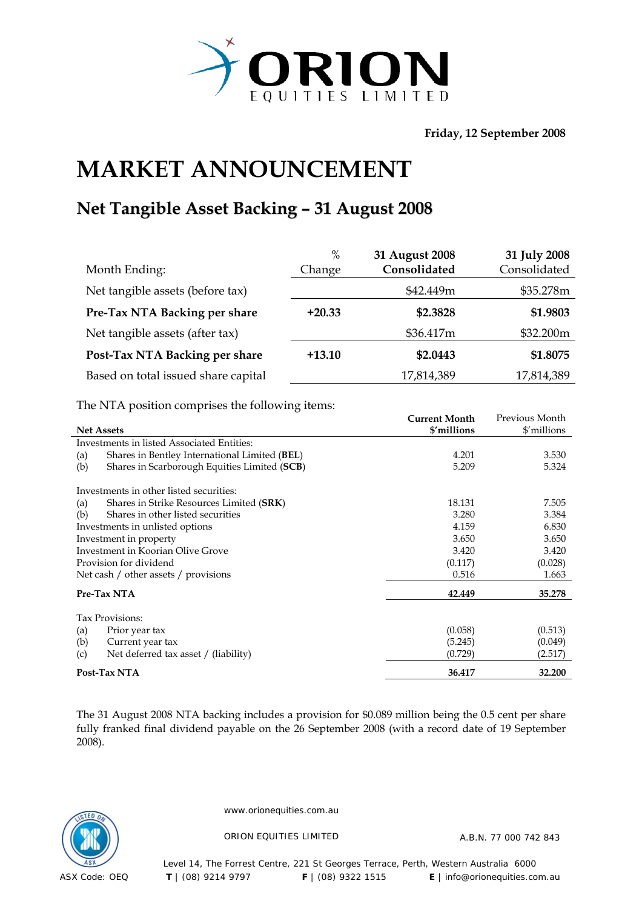

**Friday, 12 September 2008** 

## **MARKET ANNOUNCEMENT**

## **Net Tangible Asset Backing – 31 August 2008**

| Month Ending:                       | $\%$<br>Change | 31 August 2008<br>Consolidated | 31 July 2008<br>Consolidated |
|-------------------------------------|----------------|--------------------------------|------------------------------|
| Net tangible assets (before tax)    |                | \$42.449m                      | \$35.278m                    |
| Pre-Tax NTA Backing per share       | $+20.33$       | \$2.3828                       | \$1.9803                     |
| Net tangible assets (after tax)     |                | \$36.417m                      | \$32.200m                    |
| Post-Tax NTA Backing per share      | $+13.10$       | \$2.0443                       | \$1.8075                     |
| Based on total issued share capital |                | 17,814,389                     | 17,814,389                   |

The NTA position comprises the following items:

|                                                      | Current Month | Previous Month |
|------------------------------------------------------|---------------|----------------|
| <b>Net Assets</b>                                    | \$'millions   | \$'millions    |
| Investments in listed Associated Entities:           |               |                |
| Shares in Bentley International Limited (BEL)<br>(a) | 4.201         | 3.530          |
| Shares in Scarborough Equities Limited (SCB)<br>(b)  | 5.209         | 5.324          |
| Investments in other listed securities:              |               |                |
| Shares in Strike Resources Limited (SRK)<br>(a)      | 18.131        | 7.505          |
| Shares in other listed securities<br>(b)             | 3.280         | 3.384          |
| Investments in unlisted options                      | 4.159         | 6.830          |
| Investment in property                               | 3.650         | 3.650          |
| Investment in Koorian Olive Grove                    | 3.420         | 3.420          |
| Provision for dividend                               | (0.117)       | (0.028)        |
| Net cash / other assets / provisions                 | 0.516         | 1.663          |
| Pre-Tax NTA                                          | 42.449        | 35.278         |
| Tax Provisions:                                      |               |                |
| Prior year tax<br>(a)                                | (0.058)       | (0.513)        |
| (b)<br>Current year tax                              | (5.245)       | (0.049)        |
| Net deferred tax asset / (liability)<br>(c)          | (0.729)       | (2.517)        |
| Post-Tax NTA                                         | 36.417        | 32.200         |

The 31 August 2008 NTA backing includes a provision for \$0.089 million being the 0.5 cent per share fully franked final dividend payable on the 26 September 2008 (with a record date of 19 September 2008).



www.orionequities.com.au

ORION EQUITIES LIMITED A.B.N. 77 000 742 843

Level 14, The Forrest Centre, 221 St Georges Terrace, Perth, Western Australia 6000  **T** | (08) 9214 9797 **F** | (08) 9322 1515 **E** | info@orionequities.com.au